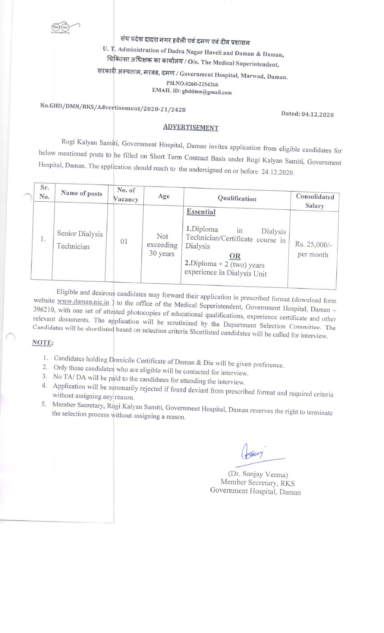संघ प्रदेश दादरा नगर हवेली एवं दमण एवं दीव प्रशासन

U. T. Administration of Dadra Nagar Haveli and Daman & Daman, चिकित्सा अधिक्षक का कार्यालय /  $O$ /o. The Medical Superintendent,

सरकारी अस्पताल, मरवड, दमण / Government Hospital, Marwad, Daman.

PH.NO.0260-2254266

EMAIL ID: ghddmn@gmail.com

# No.GHD/DMN/RKS/Advertisement/2020-21/2428

#### Dated: 04.12.2020

## **ADVERTISEMENT**

Rogi Kalyan Samiti, Government Hospital, Daman invites application from eligible candidates for below mentioned posts to be filled on Short Term Contract Basis under Rogi Kalyan Samiti, Government Hospital, Daman. The application should reach to the undersigned on or before 24.12.2020.

| Sr.<br>No. | Name of posts                 | No. of<br>Vacancy | Age                          | Qualification                                                                                                                                                                  | Consolidated<br>Salary    |  |
|------------|-------------------------------|-------------------|------------------------------|--------------------------------------------------------------------------------------------------------------------------------------------------------------------------------|---------------------------|--|
| $\perp$ .  | Senior Dialysis<br>Technician | 01                | Not<br>exceeding<br>30 years | <b>Essential</b><br>1.Diploma<br>$\ln$<br>Dialysis<br>Technician/Certificate course in<br>Dialysis<br><b>OR</b><br>$2.$ Diploma + 2 (two) years<br>experience in Dialysis Unit | Rs. 25,000/-<br>per month |  |

Eligible and desirous candidates may forward their application in prescribed format (download form website www.daman.nic.in ) to the office of the Medical Superintendent, Government Hospital, Daman -396210, with one set of attested photocopies of educational qualifications, experience certificate and other relevant documents. The application will be scrutinized by the Department Selection Committee. The Candidates will be shortlisted based on selection criteria Shortlisted candidates will be called for interview.

#### NOTE:

- 1. Candidates holding Domicile Certificate of Daman & Diu will be given preference.
- 2. Only those candidates who are eligible will be contacted for interview.
- 3. No TA/DA will be paid to the candidates for attending the interview.
- 4. Application will be summarily rejected if found deviant from prescribed format and required criteria without assigning any reason.
- 5. Member Secretary, Rogi Kalyan Samiti, Government Hospital, Daman reserves the right to terminate the selection process without assigning a reason.

(Dr. Sanjay Verma) Member Secretary, RKS Government Hospital, Daman